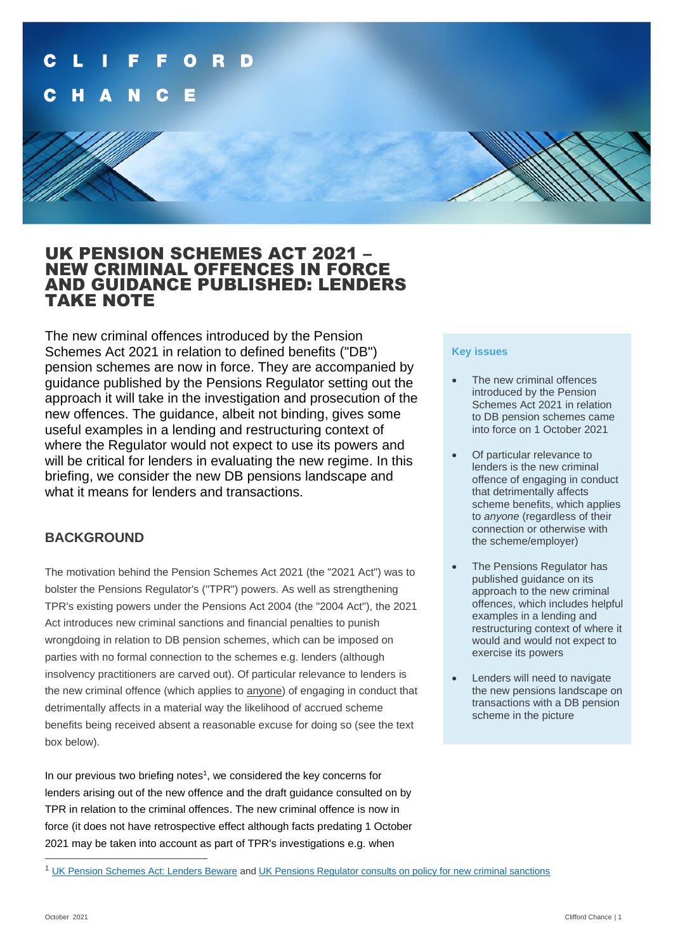

# UK PENSION SCHEMES ACT 2021 – NEW CRIMINAL OFFENCES IN FORCE AND GUIDANCE PUBLISHED: LENDERS TAKE NOTE

The new criminal offences introduced by the Pension Schemes Act 2021 in relation to defined benefits ("DB") pension schemes are now in force. They are accompanied by guidance published by the Pensions Regulator setting out the approach it will take in the investigation and prosecution of the new offences. The guidance, albeit not binding, gives some useful examples in a lending and restructuring context of where the Regulator would not expect to use its powers and will be critical for lenders in evaluating the new regime. In this briefing, we consider the new DB pensions landscape and what it means for lenders and transactions.

# **BACKGROUND**

The motivation behind the Pension Schemes Act 2021 (the "2021 Act") was to bolster the Pensions Regulator's ("TPR") powers. As well as strengthening TPR's existing powers under the Pensions Act 2004 (the "2004 Act"), the 2021 Act introduces new criminal sanctions and financial penalties to punish wrongdoing in relation to DB pension schemes, which can be imposed on parties with no formal connection to the schemes e.g. lenders (although insolvency practitioners are carved out). Of particular relevance to lenders is the new criminal offence (which applies to anyone) of engaging in conduct that detrimentally affects in a material way the likelihood of accrued scheme benefits being received absent a reasonable excuse for doing so (see the text box below).

In our previous two briefing notes<sup>1</sup>, we considered the key concerns for lenders arising out of the new offence and the draft guidance consulted on by TPR in relation to the criminal offences. The new criminal offence is now in force (it does not have retrospective effect although facts predating 1 October 2021 may be taken into account as part of TPR's investigations e.g. when

### **Key issues**

- The new criminal offences introduced by the Pension Schemes Act 2021 in relation to DB pension schemes came into force on 1 October 2021
- Of particular relevance to lenders is the new criminal offence of engaging in conduct that detrimentally affects scheme benefits, which applies to *anyone* (regardless of their connection or otherwise with the scheme/employer)
- The Pensions Regulator has published guidance on its approach to the new criminal offences, which includes helpful examples in a lending and restructuring context of where it would and would not expect to exercise its powers
- Lenders will need to navigate the new pensions landscape on transactions with a DB pension scheme in the picture

<sup>&</sup>lt;sup>1</sup> [UK Pension Schemes Act: Lenders Beware](https://www.cliffordchance.com/content/dam/cliffordchance/briefings/2021/03/uk-pension-schemes-act-lenders-beware.pdf) and [UK Pensions Regulator consults on policy for new criminal sanctions](https://www.cliffordchance.com/content/dam/cliffordchance/briefings/2021/03/uk-pensions-regulator-consults-on-policy-for-new-criminal-sanctions.pdf)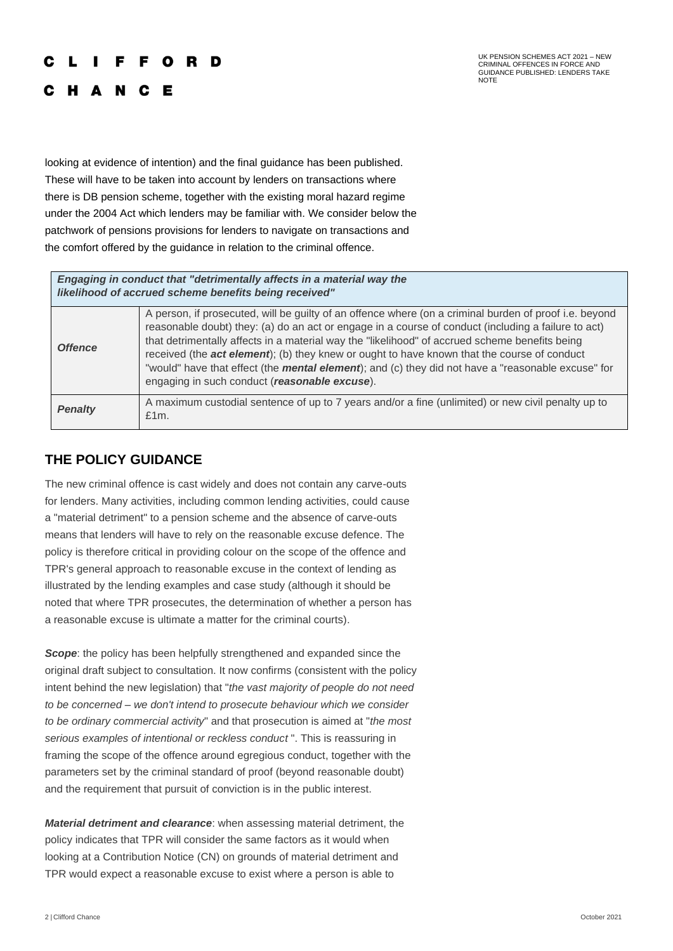#### E C R D

C H A N C E

UK PENSION SCHEMES ACT 2021 – NEW CRIMINAL OFFENCES IN FORCE AND GUIDANCE PUBLISHED: LENDERS TAKE NOTE

looking at evidence of intention) and the final guidance has been published. These will have to be taken into account by lenders on transactions where there is DB pension scheme, together with the existing moral hazard regime under the 2004 Act which lenders may be familiar with. We consider below the patchwork of pensions provisions for lenders to navigate on transactions and the comfort offered by the guidance in relation to the criminal offence.

### *Engaging in conduct that "detrimentally affects in a material way the likelihood of accrued scheme benefits being received"*

| <b>Offence</b> | A person, if prosecuted, will be guilty of an offence where (on a criminal burden of proof i.e. beyond<br>reasonable doubt) they: (a) do an act or engage in a course of conduct (including a failure to act)<br>that detrimentally affects in a material way the "likelihood" of accrued scheme benefits being<br>received (the act element); (b) they knew or ought to have known that the course of conduct<br>"would" have that effect (the mental element); and (c) they did not have a "reasonable excuse" for<br>engaging in such conduct (reasonable excuse). |
|----------------|-----------------------------------------------------------------------------------------------------------------------------------------------------------------------------------------------------------------------------------------------------------------------------------------------------------------------------------------------------------------------------------------------------------------------------------------------------------------------------------------------------------------------------------------------------------------------|
| <b>Penalty</b> | A maximum custodial sentence of up to 7 years and/or a fine (unlimited) or new civil penalty up to<br>£1m.                                                                                                                                                                                                                                                                                                                                                                                                                                                            |

# **THE POLICY GUIDANCE**

The new criminal offence is cast widely and does not contain any carve-outs for lenders. Many activities, including common lending activities, could cause a "material detriment" to a pension scheme and the absence of carve-outs means that lenders will have to rely on the reasonable excuse defence. The policy is therefore critical in providing colour on the scope of the offence and TPR's general approach to reasonable excuse in the context of lending as illustrated by the lending examples and case study (although it should be noted that where TPR prosecutes, the determination of whether a person has a reasonable excuse is ultimate a matter for the criminal courts).

**Scope:** the policy has been helpfully strengthened and expanded since the original draft subject to consultation. It now confirms (consistent with the policy intent behind the new legislation) that "*the vast majority of people do not need to be concerned – we don't intend to prosecute behaviour which we consider to be ordinary commercial activity*" and that prosecution is aimed at "*the most serious examples of intentional or reckless conduct* ". This is reassuring in framing the scope of the offence around egregious conduct, together with the parameters set by the criminal standard of proof (beyond reasonable doubt) and the requirement that pursuit of conviction is in the public interest.

*Material detriment and clearance*: when assessing material detriment, the policy indicates that TPR will consider the same factors as it would when looking at a Contribution Notice (CN) on grounds of material detriment and TPR would expect a reasonable excuse to exist where a person is able to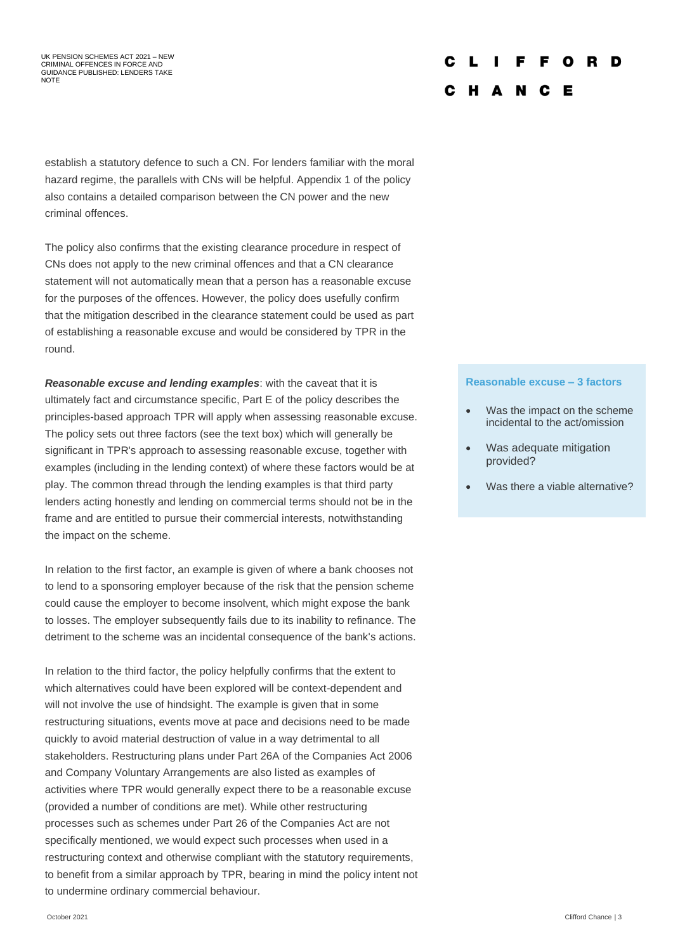#### UK PENSION SCHEMES ACT 2021 – NEW CRIMINAL OFFENCES IN FORCE AND GUIDANCE PUBLISHED: LENDERS TAKE NOTE

#### D E O D C H A N C E

establish a statutory defence to such a CN. For lenders familiar with the moral hazard regime, the parallels with CNs will be helpful. Appendix 1 of the policy also contains a detailed comparison between the CN power and the new criminal offences.

The policy also confirms that the existing clearance procedure in respect of CNs does not apply to the new criminal offences and that a CN clearance statement will not automatically mean that a person has a reasonable excuse for the purposes of the offences. However, the policy does usefully confirm that the mitigation described in the clearance statement could be used as part of establishing a reasonable excuse and would be considered by TPR in the round.

*Reasonable excuse and lending examples*: with the caveat that it is ultimately fact and circumstance specific, Part E of the policy describes the principles-based approach TPR will apply when assessing reasonable excuse. The policy sets out three factors (see the text box) which will generally be significant in TPR's approach to assessing reasonable excuse, together with examples (including in the lending context) of where these factors would be at play. The common thread through the lending examples is that third party lenders acting honestly and lending on commercial terms should not be in the frame and are entitled to pursue their commercial interests, notwithstanding the impact on the scheme.

In relation to the first factor, an example is given of where a bank chooses not to lend to a sponsoring employer because of the risk that the pension scheme could cause the employer to become insolvent, which might expose the bank to losses. The employer subsequently fails due to its inability to refinance. The detriment to the scheme was an incidental consequence of the bank's actions.

In relation to the third factor, the policy helpfully confirms that the extent to which alternatives could have been explored will be context-dependent and will not involve the use of hindsight. The example is given that in some restructuring situations, events move at pace and decisions need to be made quickly to avoid material destruction of value in a way detrimental to all stakeholders. Restructuring plans under Part 26A of the Companies Act 2006 and Company Voluntary Arrangements are also listed as examples of activities where TPR would generally expect there to be a reasonable excuse (provided a number of conditions are met). While other restructuring processes such as schemes under Part 26 of the Companies Act are not specifically mentioned, we would expect such processes when used in a restructuring context and otherwise compliant with the statutory requirements, to benefit from a similar approach by TPR, bearing in mind the policy intent not to undermine ordinary commercial behaviour.

#### **Reasonable excuse – 3 factors**

- Was the impact on the scheme incidental to the act/omission
- Was adequate mitigation provided?
- Was there a viable alternative?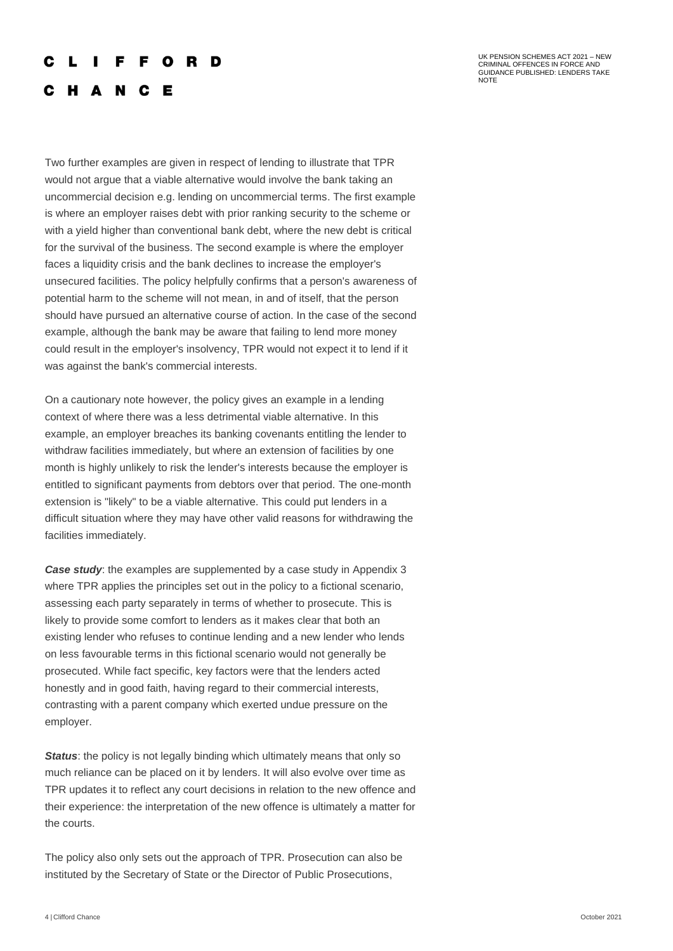#### I F F O R D c

UK PENSION SCHEMES ACT 2021 – NEW CRIMINAL OFFENCES IN FORCE AND GUIDANCE PUBLISHED: LENDERS TAKE NOTE

## C H A N C E

Two further examples are given in respect of lending to illustrate that TPR would not argue that a viable alternative would involve the bank taking an uncommercial decision e.g. lending on uncommercial terms. The first example is where an employer raises debt with prior ranking security to the scheme or with a yield higher than conventional bank debt, where the new debt is critical for the survival of the business. The second example is where the employer faces a liquidity crisis and the bank declines to increase the employer's unsecured facilities. The policy helpfully confirms that a person's awareness of potential harm to the scheme will not mean, in and of itself, that the person should have pursued an alternative course of action. In the case of the second example, although the bank may be aware that failing to lend more money could result in the employer's insolvency, TPR would not expect it to lend if it was against the bank's commercial interests.

On a cautionary note however, the policy gives an example in a lending context of where there was a less detrimental viable alternative. In this example, an employer breaches its banking covenants entitling the lender to withdraw facilities immediately, but where an extension of facilities by one month is highly unlikely to risk the lender's interests because the employer is entitled to significant payments from debtors over that period. The one-month extension is "likely" to be a viable alternative. This could put lenders in a difficult situation where they may have other valid reasons for withdrawing the facilities immediately.

*Case study:* the examples are supplemented by a case study in Appendix 3 where TPR applies the principles set out in the policy to a fictional scenario, assessing each party separately in terms of whether to prosecute. This is likely to provide some comfort to lenders as it makes clear that both an existing lender who refuses to continue lending and a new lender who lends on less favourable terms in this fictional scenario would not generally be prosecuted. While fact specific, key factors were that the lenders acted honestly and in good faith, having regard to their commercial interests, contrasting with a parent company which exerted undue pressure on the employer.

**Status:** the policy is not legally binding which ultimately means that only so much reliance can be placed on it by lenders. It will also evolve over time as TPR updates it to reflect any court decisions in relation to the new offence and their experience: the interpretation of the new offence is ultimately a matter for the courts.

The policy also only sets out the approach of TPR. Prosecution can also be instituted by the Secretary of State or the Director of Public Prosecutions,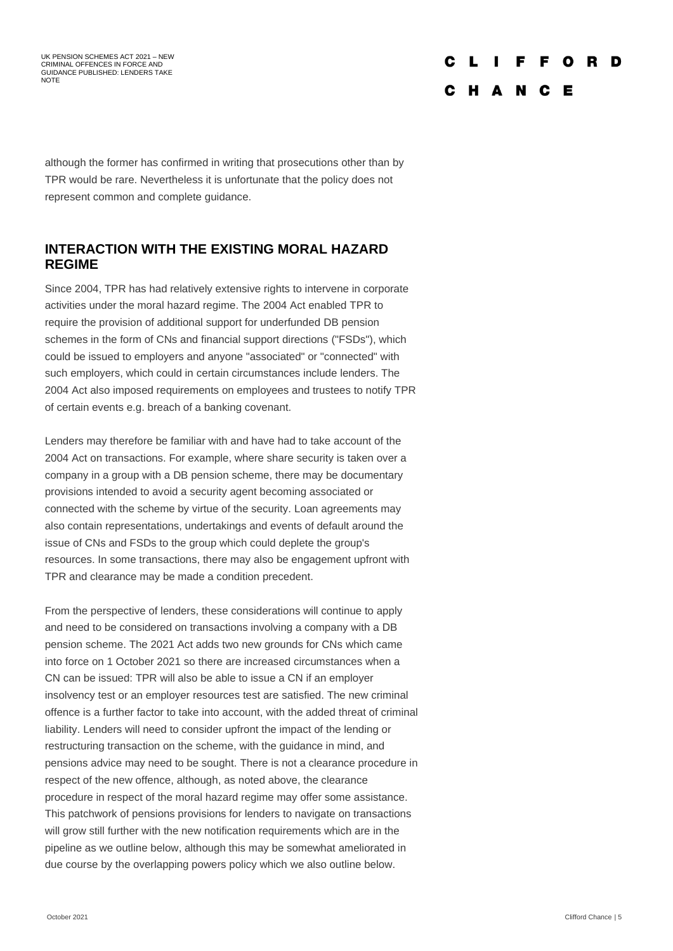UK PENSION SCHEMES ACT 2021 – NEW CRIMINAL OFFENCES IN FORCE AND GUIDANCE PUBLISHED: LENDERS TAKE NOTE

#### F F O R - n  $\mathbf{I}$ C H A N C E

although the former has confirmed in writing that prosecutions other than by TPR would be rare. Nevertheless it is unfortunate that the policy does not represent common and complete guidance.

### **INTERACTION WITH THE EXISTING MORAL HAZARD REGIME**

Since 2004, TPR has had relatively extensive rights to intervene in corporate activities under the moral hazard regime. The 2004 Act enabled TPR to require the provision of additional support for underfunded DB pension schemes in the form of CNs and financial support directions ("FSDs"), which could be issued to employers and anyone "associated" or "connected" with such employers, which could in certain circumstances include lenders. The 2004 Act also imposed requirements on employees and trustees to notify TPR of certain events e.g. breach of a banking covenant.

Lenders may therefore be familiar with and have had to take account of the 2004 Act on transactions. For example, where share security is taken over a company in a group with a DB pension scheme, there may be documentary provisions intended to avoid a security agent becoming associated or connected with the scheme by virtue of the security. Loan agreements may also contain representations, undertakings and events of default around the issue of CNs and FSDs to the group which could deplete the group's resources. In some transactions, there may also be engagement upfront with TPR and clearance may be made a condition precedent.

From the perspective of lenders, these considerations will continue to apply and need to be considered on transactions involving a company with a DB pension scheme. The 2021 Act adds two new grounds for CNs which came into force on 1 October 2021 so there are increased circumstances when a CN can be issued: TPR will also be able to issue a CN if an employer insolvency test or an employer resources test are satisfied. The new criminal offence is a further factor to take into account, with the added threat of criminal liability. Lenders will need to consider upfront the impact of the lending or restructuring transaction on the scheme, with the guidance in mind, and pensions advice may need to be sought. There is not a clearance procedure in respect of the new offence, although, as noted above, the clearance procedure in respect of the moral hazard regime may offer some assistance. This patchwork of pensions provisions for lenders to navigate on transactions will grow still further with the new notification requirements which are in the pipeline as we outline below, although this may be somewhat ameliorated in due course by the overlapping powers policy which we also outline below.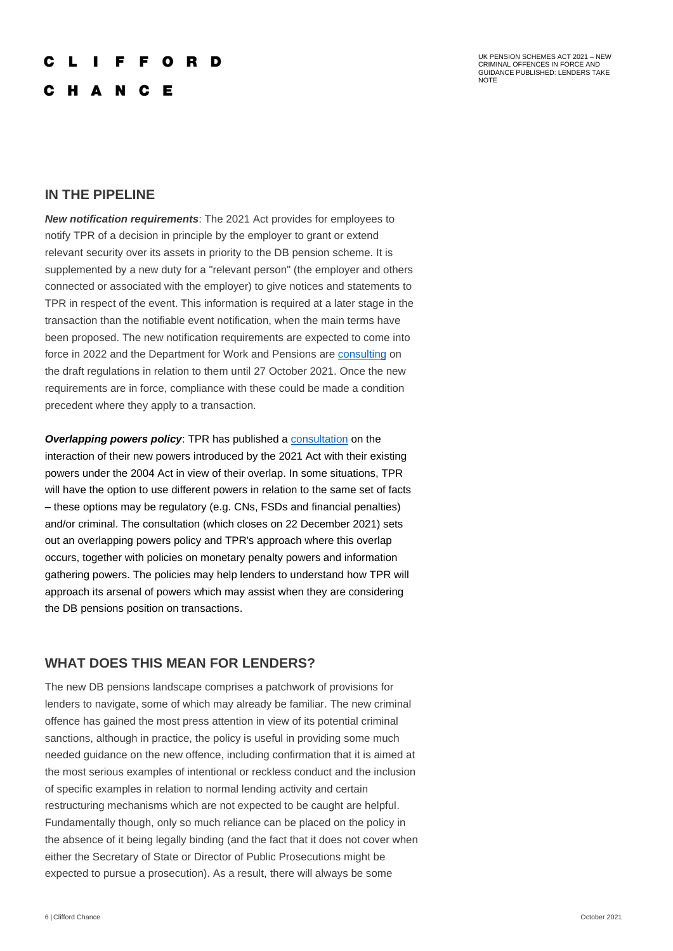#### F F O R D

C H A N C E

UK PENSION SCHEMES ACT 2021 – NEW CRIMINAL OFFENCES IN FORCE AND GUIDANCE PUBLISHED: LENDERS TAKE NOTE

### **IN THE PIPELINE**

*New notification requirements*: The 2021 Act provides for employees to notify TPR of a decision in principle by the employer to grant or extend relevant security over its assets in priority to the DB pension scheme. It is supplemented by a new duty for a "relevant person" (the employer and others connected or associated with the employer) to give notices and statements to TPR in respect of the event. This information is required at a later stage in the transaction than the notifiable event notification, when the main terms have been proposed. The new notification requirements are expected to come into force in 2022 and the Department for Work and Pensions are [consulting](https://www.gov.uk/government/consultations/strengthening-the-pensions-regulators-powers-notifiable-events-amendments-regulations-2021/strengthening-the-pensions-regulators-powers-notifiable-events-amendments-regulations-2021) on the draft regulations in relation to them until 27 October 2021. Once the new requirements are in force, compliance with these could be made a condition precedent where they apply to a transaction.

**Overlapping powers policy:** TPR has published a [consultation](https://www.thepensionsregulator.gov.uk/-/media/thepensionsregulator/files/import/pdf/new-powers-consultation-document.ashx) on the interaction of their new powers introduced by the 2021 Act with their existing powers under the 2004 Act in view of their overlap. In some situations, TPR will have the option to use different powers in relation to the same set of facts – these options may be regulatory (e.g. CNs, FSDs and financial penalties) and/or criminal. The consultation (which closes on 22 December 2021) sets out an overlapping powers policy and TPR's approach where this overlap occurs, together with policies on monetary penalty powers and information gathering powers. The policies may help lenders to understand how TPR will approach its arsenal of powers which may assist when they are considering the DB pensions position on transactions.

### **WHAT DOES THIS MEAN FOR LENDERS?**

The new DB pensions landscape comprises a patchwork of provisions for lenders to navigate, some of which may already be familiar. The new criminal offence has gained the most press attention in view of its potential criminal sanctions, although in practice, the policy is useful in providing some much needed guidance on the new offence, including confirmation that it is aimed at the most serious examples of intentional or reckless conduct and the inclusion of specific examples in relation to normal lending activity and certain restructuring mechanisms which are not expected to be caught are helpful. Fundamentally though, only so much reliance can be placed on the policy in the absence of it being legally binding (and the fact that it does not cover when either the Secretary of State or Director of Public Prosecutions might be expected to pursue a prosecution). As a result, there will always be some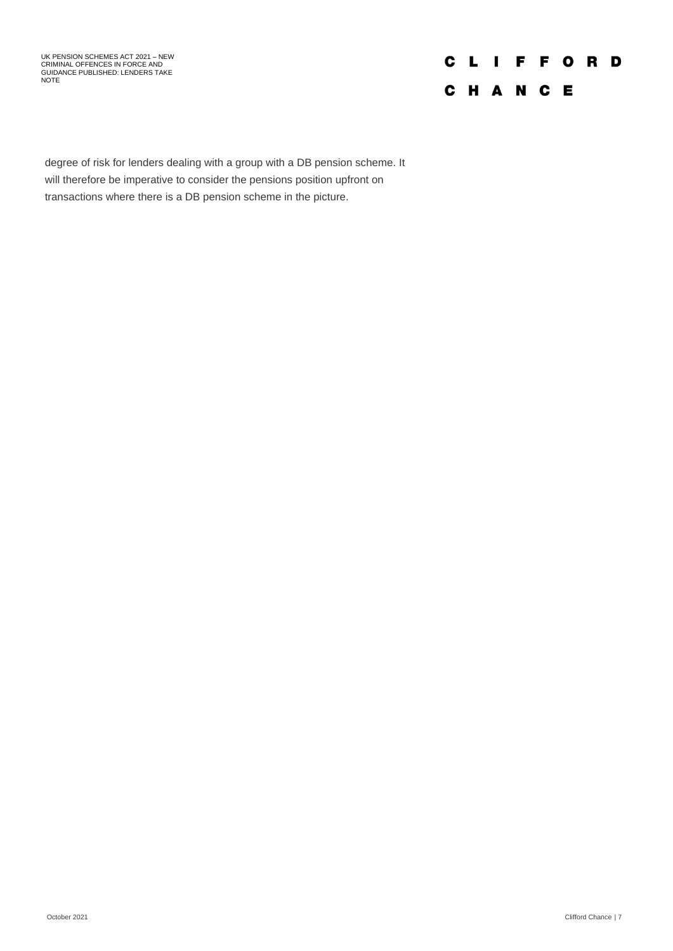UK PENSION SCHEMES ACT 2021 – NEW CRIMINAL OFFENCES IN FORCE AND GUIDANCE PUBLISHED: LENDERS TAKE NOTE

# **CLIFFORD** C H A N C E

degree of risk for lenders dealing with a group with a DB pension scheme. It will therefore be imperative to consider the pensions position upfront on transactions where there is a DB pension scheme in the picture.